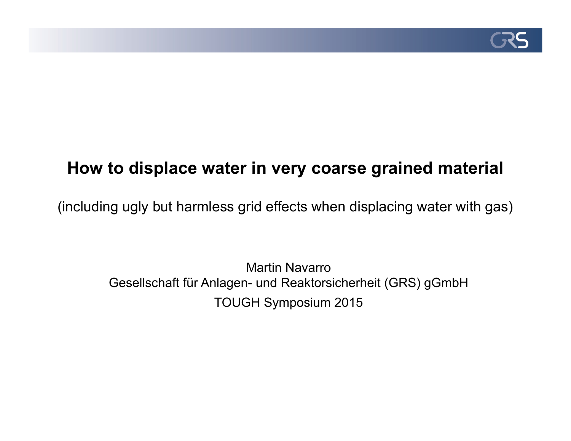

# **How to displace water in very coarse grained material**

(including ugly but harmless grid effects when displacing water with gas)

Martin Navarro Gesellschaft für Anlagen- und Reaktorsicherheit (GRS) gGmbH TOUGH Symposium 2015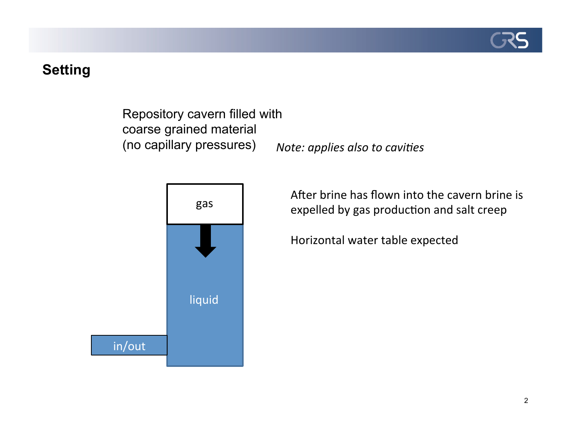

## **Setting**

Repository cavern filled with coarse grained material (no capillary pressures)



*Note: applies also to cavities* 

After brine has flown into the cavern brine is expelled by gas production and salt creep

Horizontal'water table expected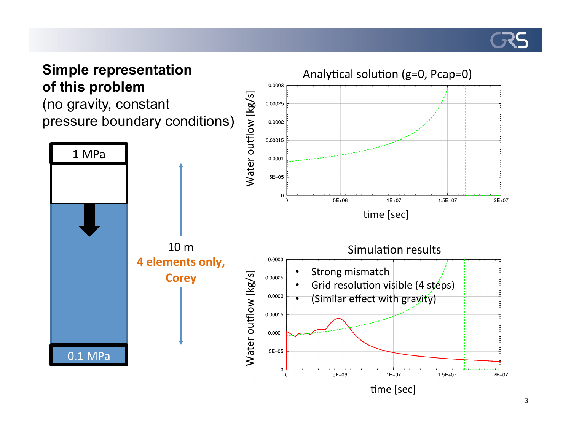

## **Simple representation of this problem**

(no gravity, constant pressure boundary conditions)

![](_page_2_Figure_3.jpeg)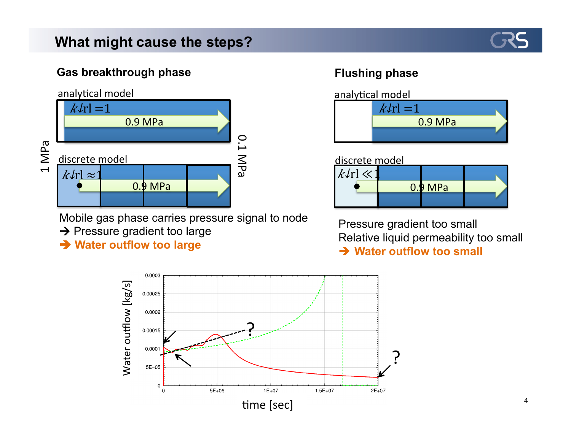## **What might cause the steps?**

![](_page_3_Picture_1.jpeg)

### **Gas breakthrough phase Flushing phase**

![](_page_3_Figure_3.jpeg)

Mobile gas phase carries pressure signal to node

- $\rightarrow$  Pressure gradient too large
- **→ Water outflow too large**

![](_page_3_Figure_8.jpeg)

#### discrete model

| $k\ell$ rl $\ll$ 1 |           |  |
|--------------------|-----------|--|
|                    | $0.9$ MPa |  |
|                    |           |  |

Pressure gradient too small Relative liquid permeability too small  $\rightarrow$  Water outflow too small

![](_page_3_Figure_12.jpeg)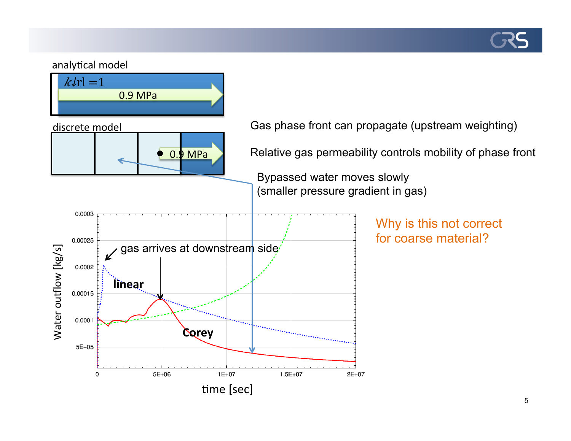![](_page_4_Picture_0.jpeg)

#### analytical model

![](_page_4_Figure_2.jpeg)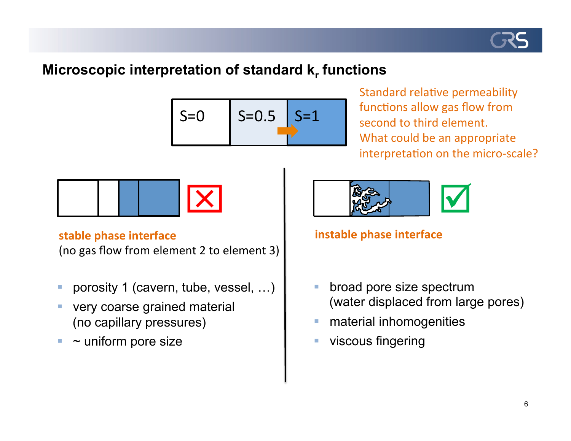![](_page_5_Picture_0.jpeg)

## **Microscopic interpretation of standard**  $k_r$  **functions**

![](_page_5_Figure_2.jpeg)

Standard relative permeability functions allow gas flow from second to third element. What could be an appropriate interpretation on the micro-scale?

![](_page_5_Figure_4.jpeg)

#### **stable phase interface**

(no gas flow from element 2 to element 3)

- **-** porosity 1 (cavern, tube, vessel, ...)
- **very coarse grained material** (no capillary pressures)
- $\blacksquare$  ~ uniform pore size

![](_page_5_Figure_10.jpeg)

## **instable phase interface**

- **E** broad pore size spectrum (water displaced from large pores)
- **EXECUTE:** material inhomogenities
- **EXECOUS fingering**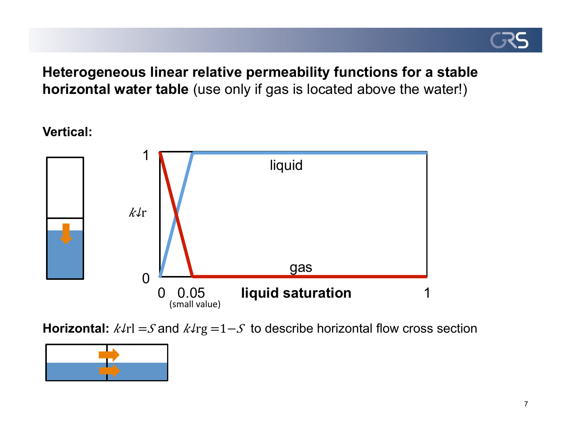![](_page_6_Picture_0.jpeg)

**Heterogeneous linear relative permeability functions for a stable horizontal water table** (use only if gas is located above the water!)

**Vertical:**

![](_page_6_Figure_3.jpeg)

**Horizontal:**  $k\ell r = S$  and  $k\ell rg = 1-S$  to describe horizontal flow cross section

![](_page_6_Picture_5.jpeg)